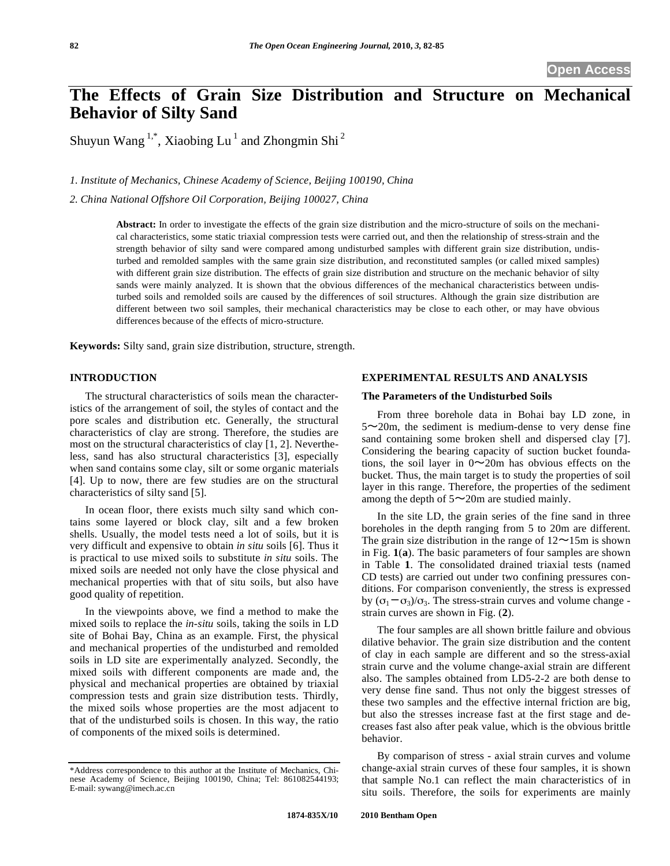# **The Effects of Grain Size Distribution and Structure on Mechanical Behavior of Silty Sand**

Shuyun Wang  $1,^*$ , Xiaobing Lu<sup>1</sup> and Zhongmin Shi<sup>2</sup>

*1. Institute of Mechanics, Chinese Academy of Science, Beijing 100190, China* 

*2. China National Offshore Oil Corporation, Beijing 100027, China* 

**Abstract:** In order to investigate the effects of the grain size distribution and the micro-structure of soils on the mechanical characteristics, some static triaxial compression tests were carried out, and then the relationship of stress-strain and the strength behavior of silty sand were compared among undisturbed samples with different grain size distribution, undisturbed and remolded samples with the same grain size distribution, and reconstituted samples (or called mixed samples) with different grain size distribution. The effects of grain size distribution and structure on the mechanic behavior of silty sands were mainly analyzed. It is shown that the obvious differences of the mechanical characteristics between undisturbed soils and remolded soils are caused by the differences of soil structures. Although the grain size distribution are different between two soil samples, their mechanical characteristics may be close to each other, or may have obvious differences because of the effects of micro-structure.

**Keywords:** Silty sand, grain size distribution, structure, strength.

#### **INTRODUCTION**

The structural characteristics of soils mean the characteristics of the arrangement of soil, the styles of contact and the pore scales and distribution etc. Generally, the structural characteristics of clay are strong. Therefore, the studies are most on the structural characteristics of clay [1, 2]. Nevertheless, sand has also structural characteristics [3], especially when sand contains some clay, silt or some organic materials [4]. Up to now, there are few studies are on the structural characteristics of silty sand [5].

In ocean floor, there exists much silty sand which contains some layered or block clay, silt and a few broken shells. Usually, the model tests need a lot of soils, but it is very difficult and expensive to obtain *in situ* soils [6]. Thus it is practical to use mixed soils to substitute *in situ* soils. The mixed soils are needed not only have the close physical and mechanical properties with that of situ soils, but also have good quality of repetition.

In the viewpoints above, we find a method to make the mixed soils to replace the *in-situ* soils, taking the soils in LD site of Bohai Bay, China as an example. First, the physical and mechanical properties of the undisturbed and remolded soils in LD site are experimentally analyzed. Secondly, the mixed soils with different components are made and, the physical and mechanical properties are obtained by triaxial compression tests and grain size distribution tests. Thirdly, the mixed soils whose properties are the most adjacent to that of the undisturbed soils is chosen. In this way, the ratio of components of the mixed soils is determined.

## **EXPERIMENTAL RESULTS AND ANALYSIS**

## **The Parameters of the Undisturbed Soils**

From three borehole data in Bohai bay LD zone, in  $5\sim$ 20m, the sediment is medium-dense to very dense fine sand containing some broken shell and dispersed clay [7]. Considering the bearing capacity of suction bucket foundations, the soil layer in  $0 \sim 20$ m has obvious effects on the bucket. Thus, the main target is to study the properties of soil layer in this range. Therefore, the properties of the sediment among the depth of  $5 \sim 20$ m are studied mainly.

In the site LD, the grain series of the fine sand in three boreholes in the depth ranging from 5 to 20m are different. The grain size distribution in the range of  $12\nthicksim15m$  is shown in Fig. **1**(**a**). The basic parameters of four samples are shown in Table **1**. The consolidated drained triaxial tests (named CD tests) are carried out under two confining pressures conditions. For comparison conveniently, the stress is expressed by  $(\sigma_1-\sigma_3)/\sigma_3$ . The stress-strain curves and volume change strain curves are shown in Fig. (**2**).

The four samples are all shown brittle failure and obvious dilative behavior. The grain size distribution and the content of clay in each sample are different and so the stress-axial strain curve and the volume change-axial strain are different also. The samples obtained from LD5-2-2 are both dense to very dense fine sand. Thus not only the biggest stresses of these two samples and the effective internal friction are big, but also the stresses increase fast at the first stage and decreases fast also after peak value, which is the obvious brittle behavior.

By comparison of stress - axial strain curves and volume change-axial strain curves of these four samples, it is shown that sample No.1 can reflect the main characteristics of in situ soils. Therefore, the soils for experiments are mainly

<sup>\*</sup>Address correspondence to this author at the Institute of Mechanics, Chinese Academy of Science, Beijing 100190, China; Tel: 861082544193; E-mail: sywang@imech.ac.cn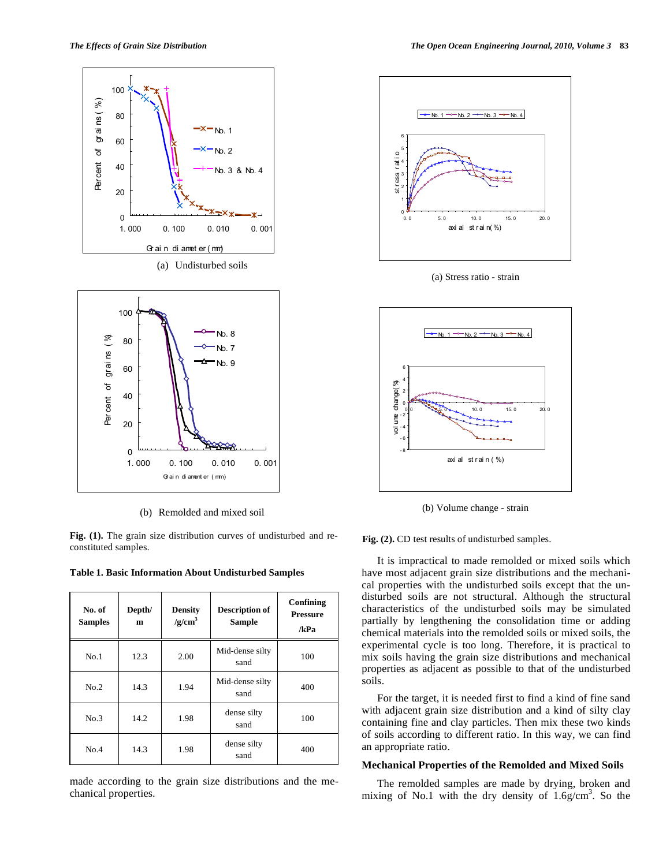



(b) Remolded and mixed soil

**Fig. (1).** The grain size distribution curves of undisturbed and reconstituted samples.

**Table 1. Basic Information About Undisturbed Samples** 

| No. of<br><b>Samples</b> | Depth/<br>m | <b>Density</b><br>/g/cm <sup>3</sup> | <b>Description of</b><br><b>Sample</b> | Confining<br><b>Pressure</b><br>/kPa |
|--------------------------|-------------|--------------------------------------|----------------------------------------|--------------------------------------|
| No.1                     | 12.3        | 2.00                                 | Mid-dense silty<br>sand                | 100                                  |
| No.2                     | 14.3        | 1.94                                 | Mid-dense silty<br>sand                | 400                                  |
| No.3                     | 14.2        | 1.98                                 | dense silty<br>sand                    | 100                                  |
| No.4                     | 14.3        | 1.98                                 | dense silty<br>sand                    | 400                                  |

made according to the grain size distributions and the mechanical properties.



(a) Stress ratio - strain



(b) Volume change - strain

**Fig. (2).** CD test results of undisturbed samples.

It is impractical to made remolded or mixed soils which have most adjacent grain size distributions and the mechanical properties with the undisturbed soils except that the undisturbed soils are not structural. Although the structural characteristics of the undisturbed soils may be simulated partially by lengthening the consolidation time or adding chemical materials into the remolded soils or mixed soils, the experimental cycle is too long. Therefore, it is practical to mix soils having the grain size distributions and mechanical properties as adjacent as possible to that of the undisturbed soils.

For the target, it is needed first to find a kind of fine sand with adjacent grain size distribution and a kind of silty clay containing fine and clay particles. Then mix these two kinds of soils according to different ratio. In this way, we can find an appropriate ratio.

### **Mechanical Properties of the Remolded and Mixed Soils**

The remolded samples are made by drying, broken and mixing of No.1 with the dry density of  $1.6g/cm<sup>3</sup>$ . So the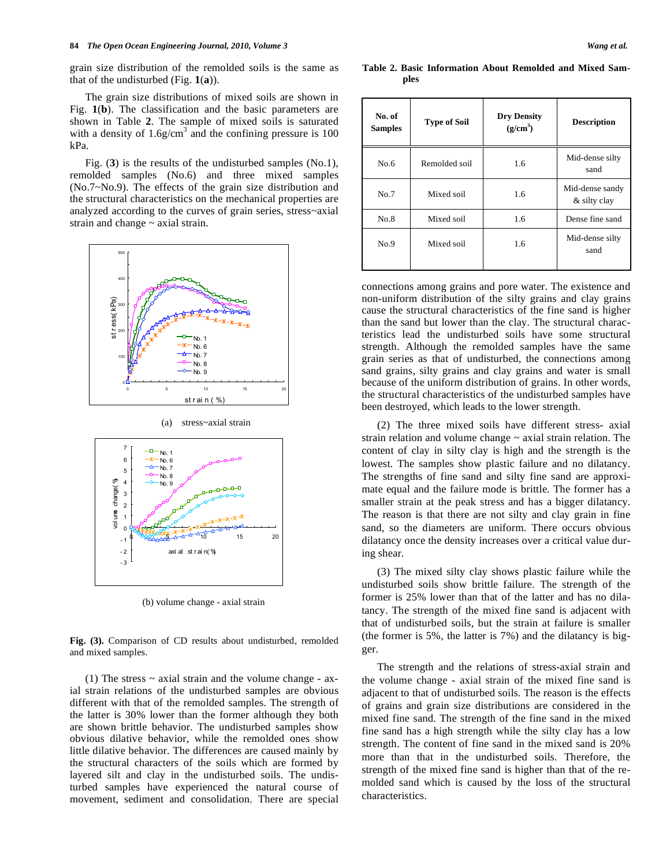grain size distribution of the remolded soils is the same as that of the undisturbed (Fig. **1**(**a**)).

The grain size distributions of mixed soils are shown in Fig. **1**(**b**). The classification and the basic parameters are shown in Table **2**. The sample of mixed soils is saturated with a density of  $1.6g/cm<sup>3</sup>$  and the confining pressure is 100 kPa.

Fig. (**3**) is the results of the undisturbed samples (No.1), remolded samples (No.6) and three mixed samples (No.7~No.9). The effects of the grain size distribution and the structural characteristics on the mechanical properties are analyzed according to the curves of grain series, stress~axial strain and change ~ axial strain.



(a) stress~axial strain



(b) volume change - axial strain

**Fig. (3).** Comparison of CD results about undisturbed, remolded and mixed samples.

(1) The stress  $\sim$  axial strain and the volume change - axial strain relations of the undisturbed samples are obvious different with that of the remolded samples. The strength of the latter is 30% lower than the former although they both are shown brittle behavior. The undisturbed samples show obvious dilative behavior, while the remolded ones show little dilative behavior. The differences are caused mainly by the structural characters of the soils which are formed by layered silt and clay in the undisturbed soils. The undisturbed samples have experienced the natural course of movement, sediment and consolidation. There are special

**No. of No. of Type of Soil Dry Density Samples Type of Soil Dry Density (g/cm3 ) Description** 

**Table 2. Basic Information About Remolded and Mixed Sam-**

**ples** 

| No. of<br><b>Samples</b> | <b>Type of Soil</b> | <b>Dry Density</b><br>(g/cm <sup>3</sup> ) | <b>Description</b>              |
|--------------------------|---------------------|--------------------------------------------|---------------------------------|
| No.6                     | Remolded soil       | 1.6                                        | Mid-dense silty<br>sand         |
| No.7                     | Mixed soil          | 1.6                                        | Mid-dense sandy<br>& silty clay |
| No.8                     | Mixed soil          | 1.6                                        | Dense fine sand                 |
| No.9                     | Mixed soil          | 1.6                                        | Mid-dense silty<br>sand         |

connections among grains and pore water. The existence and non-uniform distribution of the silty grains and clay grains cause the structural characteristics of the fine sand is higher than the sand but lower than the clay. The structural characteristics lead the undisturbed soils have some structural strength. Although the remolded samples have the same grain series as that of undisturbed, the connections among sand grains, silty grains and clay grains and water is small because of the uniform distribution of grains. In other words, the structural characteristics of the undisturbed samples have been destroyed, which leads to the lower strength.

(2) The three mixed soils have different stress- axial strain relation and volume change ~ axial strain relation. The content of clay in silty clay is high and the strength is the lowest. The samples show plastic failure and no dilatancy. The strengths of fine sand and silty fine sand are approximate equal and the failure mode is brittle. The former has a smaller strain at the peak stress and has a bigger dilatancy. The reason is that there are not silty and clay grain in fine sand, so the diameters are uniform. There occurs obvious dilatancy once the density increases over a critical value during shear.

(3) The mixed silty clay shows plastic failure while the undisturbed soils show brittle failure. The strength of the former is 25% lower than that of the latter and has no dilatancy. The strength of the mixed fine sand is adjacent with that of undisturbed soils, but the strain at failure is smaller (the former is 5%, the latter is 7%) and the dilatancy is bigger.

The strength and the relations of stress-axial strain and the volume change - axial strain of the mixed fine sand is adjacent to that of undisturbed soils. The reason is the effects of grains and grain size distributions are considered in the mixed fine sand. The strength of the fine sand in the mixed fine sand has a high strength while the silty clay has a low strength. The content of fine sand in the mixed sand is 20% more than that in the undisturbed soils. Therefore, the strength of the mixed fine sand is higher than that of the remolded sand which is caused by the loss of the structural characteristics.